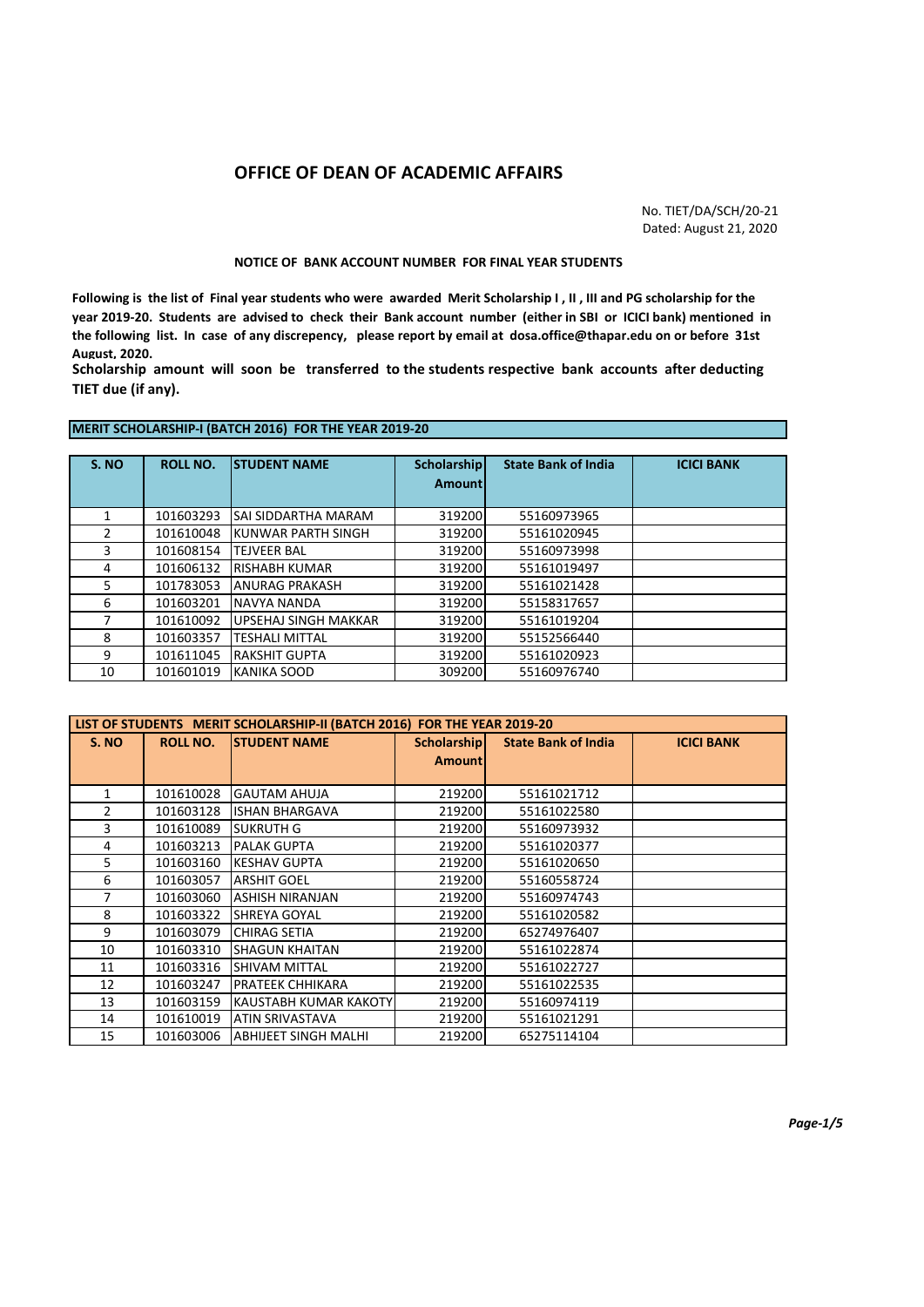## **OFFICE OF DEAN OF ACADEMIC AFFAIRS**

No. TIET/DA/SCH/20-21 Dated: August 21, 2020

## **NOTICE OF BANK ACCOUNT NUMBER FOR FINAL YEAR STUDENTS**

**Following is the list of Final year students who were awarded Merit Scholarship I , II , III and PG scholarship for the year 2019-20. Students are advised to check their Bank account number (either in SBI or ICICI bank) mentioned in the following list. In case of any discrepency, please report by email at dosa.office@thapar.edu on or before 31st August, 2020.**

**Scholarship amount will soon be transferred to the students respective bank accounts after deducting TIET due (if any).**

## **MERIT SCHOLARSHIP-I (BATCH 2016) FOR THE YEAR 2019-20**

| S. NO | <b>ROLL NO.</b> | <b>STUDENT NAME</b>        | <b>Scholarship</b><br><b>Amount</b> | <b>State Bank of India</b> | <b>ICICI BANK</b> |
|-------|-----------------|----------------------------|-------------------------------------|----------------------------|-------------------|
|       | 101603293       | <b>SAI SIDDARTHA MARAM</b> | 319200                              | 55160973965                |                   |
|       | 101610048       | KUNWAR PARTH SINGH         | 319200                              | 55161020945                |                   |
| 3     | 101608154       | <b>TEJVEER BAL</b>         | 319200                              | 55160973998                |                   |
| 4     | 101606132       | <b>RISHABH KUMAR</b>       | 319200                              | 55161019497                |                   |
| 5.    | 101783053       | <b>ANURAG PRAKASH</b>      | 319200                              | 55161021428                |                   |
| 6     | 101603201       | <b>NAVYA NANDA</b>         | 319200                              | 55158317657                |                   |
|       | 101610092       | UPSEHAJ SINGH MAKKAR       | 319200                              | 55161019204                |                   |
| 8     | 101603357       | <b>TESHALI MITTAL</b>      | 319200                              | 55152566440                |                   |
| 9     | 101611045       | <b>RAKSHIT GUPTA</b>       | 319200                              | 55161020923                |                   |
| 10    | 101601019       | <b>KANIKA SOOD</b>         | 309200                              | 55160976740                |                   |

| LIST OF STUDENTS MERIT SCHOLARSHIP-II (BATCH 2016) FOR THE YEAR 2019-20 |                 |                              |                                                                       |             |  |  |
|-------------------------------------------------------------------------|-----------------|------------------------------|-----------------------------------------------------------------------|-------------|--|--|
| S. NO                                                                   | <b>ROLL NO.</b> | <b>ISTUDENT NAME</b>         | <b>State Bank of India</b><br><b>Scholarship</b><br><b>ICICI BANK</b> |             |  |  |
|                                                                         |                 |                              | <b>Amount</b>                                                         |             |  |  |
|                                                                         |                 |                              |                                                                       |             |  |  |
|                                                                         | 101610028       | <b>GAUTAM AHUJA</b>          | 219200                                                                | 55161021712 |  |  |
| $\overline{2}$                                                          | 101603128       | ISHAN BHARGAVA               | 219200                                                                | 55161022580 |  |  |
| 3                                                                       | 101610089       | <b>SUKRUTH G</b>             | 219200                                                                | 55160973932 |  |  |
| 4                                                                       | 101603213       | <b>PALAK GUPTA</b>           | 219200                                                                | 55161020377 |  |  |
| 5.                                                                      | 101603160       | <b>KESHAV GUPTA</b>          | 219200                                                                | 55161020650 |  |  |
| 6                                                                       | 101603057       | <b>ARSHIT GOEL</b>           | 219200                                                                | 55160558724 |  |  |
| $\overline{7}$                                                          | 101603060       | <b>ASHISH NIRANJAN</b>       | 219200                                                                | 55160974743 |  |  |
| 8                                                                       | 101603322       | SHREYA GOYAL                 | 219200                                                                | 55161020582 |  |  |
| 9                                                                       | 101603079       | <b>CHIRAG SETIA</b>          | 219200                                                                | 65274976407 |  |  |
| 10                                                                      | 101603310       | ISHAGUN KHAITAN              | 219200                                                                | 55161022874 |  |  |
| 11                                                                      | 101603316       | <b>SHIVAM MITTAL</b>         | 219200                                                                | 55161022727 |  |  |
| 12                                                                      | 101603247       | <b>PRATEEK CHHIKARA</b>      | 219200                                                                | 55161022535 |  |  |
| 13                                                                      | 101603159       | <b>KAUSTABH KUMAR KAKOTY</b> | 219200                                                                | 55160974119 |  |  |
| 14                                                                      | 101610019       | <b>ATIN SRIVASTAVA</b>       | 219200                                                                | 55161021291 |  |  |
| 15                                                                      | 101603006       | <b>ABHIJEET SINGH MALHI</b>  | 219200                                                                | 65275114104 |  |  |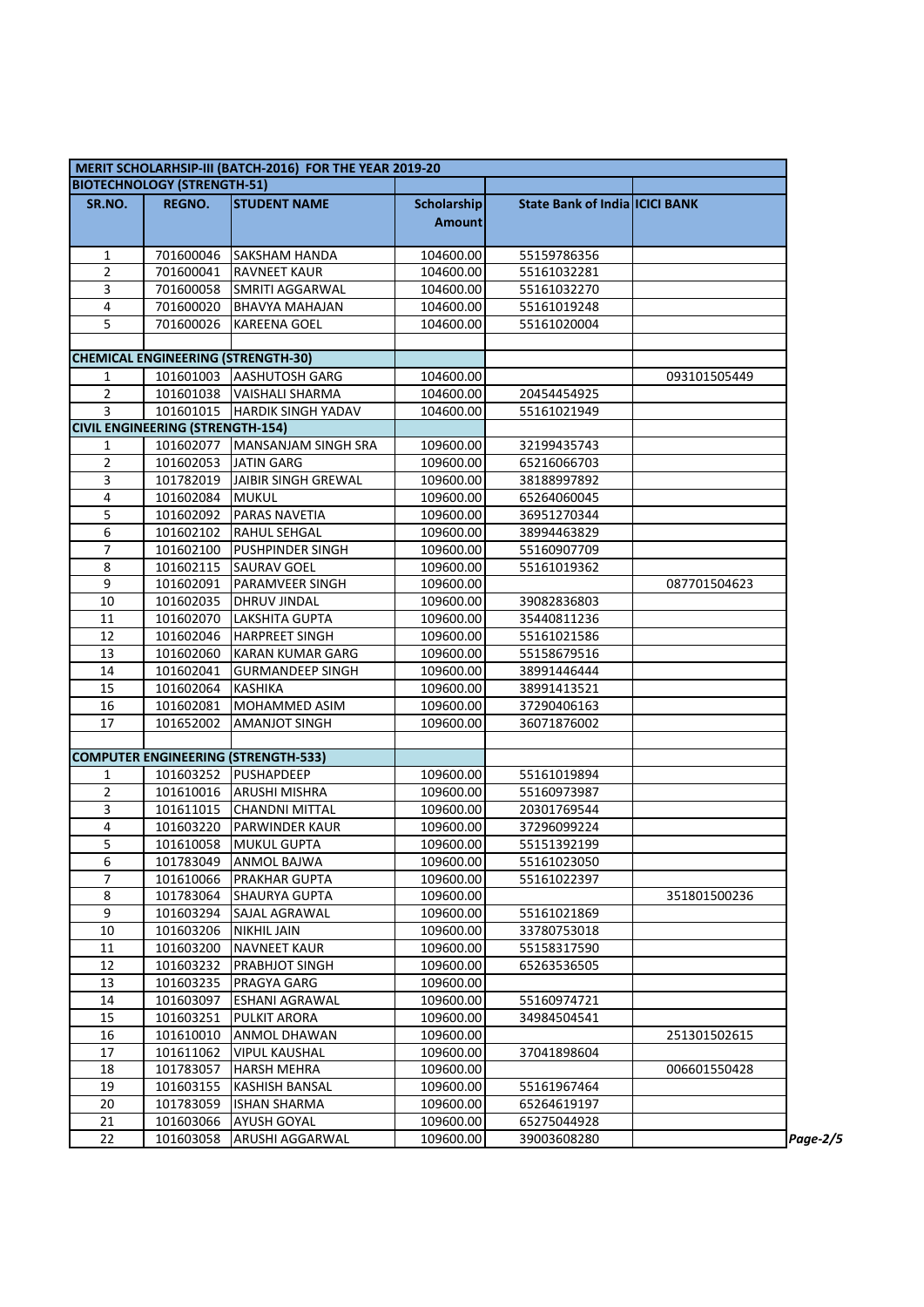|                     | MERIT SCHOLARHSIP-III (BATCH-2016) FOR THE YEAR 2019-20 |                                              |                        |                                       |              |  |  |  |
|---------------------|---------------------------------------------------------|----------------------------------------------|------------------------|---------------------------------------|--------------|--|--|--|
|                     | <b>BIOTECHNOLOGY (STRENGTH-51)</b>                      |                                              |                        |                                       |              |  |  |  |
| SR.NO.              | <b>REGNO.</b>                                           | <b>STUDENT NAME</b>                          | <b>Scholarship</b>     | <b>State Bank of India ICICI BANK</b> |              |  |  |  |
|                     |                                                         |                                              | <b>Amount</b>          |                                       |              |  |  |  |
|                     |                                                         |                                              |                        |                                       |              |  |  |  |
| 1                   | 701600046                                               | <b>SAKSHAM HANDA</b>                         | 104600.00              | 55159786356                           |              |  |  |  |
| $\overline{2}$      | 701600041                                               | <b>RAVNEET KAUR</b>                          | 104600.00              | 55161032281                           |              |  |  |  |
| 3                   | 701600058                                               | SMRITI AGGARWAL                              | 104600.00              | 55161032270                           |              |  |  |  |
| 4                   | 701600020                                               | <b>BHAVYA MAHAJAN</b>                        | 104600.00              | 55161019248                           |              |  |  |  |
| 5                   | 701600026                                               | <b>KAREENA GOEL</b>                          | 104600.00              | 55161020004                           |              |  |  |  |
|                     |                                                         |                                              |                        |                                       |              |  |  |  |
|                     |                                                         | <b>CHEMICAL ENGINEERING (STRENGTH-30)</b>    |                        |                                       |              |  |  |  |
| 1                   | 101601003                                               | <b>AASHUTOSH GARG</b>                        | 104600.00              |                                       | 093101505449 |  |  |  |
| $\overline{2}$      | 101601038                                               | <b>VAISHALI SHARMA</b>                       | 104600.00              | 20454454925                           |              |  |  |  |
| 3                   | 101601015                                               | <b>HARDIK SINGH YADAV</b>                    | 104600.00              | 55161021949                           |              |  |  |  |
|                     | <b>CIVIL ENGINEERING (STRENGTH-154)</b>                 |                                              |                        |                                       |              |  |  |  |
| 1                   | 101602077                                               | MANSANJAM SINGH SRA                          | 109600.00              | 32199435743                           |              |  |  |  |
| 2                   | 101602053                                               | <b>JATIN GARG</b>                            | 109600.00              | 65216066703                           |              |  |  |  |
| 3                   | 101782019                                               | JAIBIR SINGH GREWAL                          | 109600.00              | 38188997892                           |              |  |  |  |
| 4                   | 101602084                                               | <b>MUKUL</b>                                 | 109600.00              | 65264060045                           |              |  |  |  |
| 5                   | 101602092                                               | <b>PARAS NAVETIA</b>                         | 109600.00              | 36951270344                           |              |  |  |  |
| 6                   | 101602102                                               | <b>RAHUL SEHGAL</b>                          | 109600.00              | 38994463829                           |              |  |  |  |
| 7                   | 101602100                                               | <b>PUSHPINDER SINGH</b>                      | 109600.00              | 55160907709                           |              |  |  |  |
| 8                   | 101602115                                               | <b>SAURAV GOEL</b>                           | 109600.00              | 55161019362                           |              |  |  |  |
| 9                   | 101602091                                               | <b>PARAMVEER SINGH</b>                       | 109600.00              |                                       | 087701504623 |  |  |  |
| 10                  | 101602035                                               | <b>DHRUV JINDAL</b>                          | 109600.00              | 39082836803                           |              |  |  |  |
| 11                  | 101602070                                               | LAKSHITA GUPTA                               | 109600.00              | 35440811236                           |              |  |  |  |
| 12                  | 101602046                                               | <b>HARPREET SINGH</b>                        | 109600.00              | 55161021586                           |              |  |  |  |
| 13                  | 101602060                                               | <b>KARAN KUMAR GARG</b>                      | 109600.00              | 55158679516                           |              |  |  |  |
| 14                  | 101602041                                               | <b>GURMANDEEP SINGH</b>                      | 109600.00              | 38991446444                           |              |  |  |  |
| 15                  | 101602064                                               | <b>KASHIKA</b>                               | 109600.00              | 38991413521                           |              |  |  |  |
| 16                  | 101602081                                               | <b>MOHAMMED ASIM</b>                         | 109600.00              | 37290406163                           |              |  |  |  |
| 17                  | 101652002                                               | <b>AMANJOT SINGH</b>                         | 109600.00              | 36071876002                           |              |  |  |  |
|                     |                                                         |                                              |                        |                                       |              |  |  |  |
|                     |                                                         | <b>COMPUTER ENGINEERING (STRENGTH-533)</b>   |                        |                                       |              |  |  |  |
| 1                   | 101603252                                               | <b>PUSHAPDEEP</b>                            | 109600.00              | 55161019894                           |              |  |  |  |
| 2                   | 101610016                                               | <b>ARUSHI MISHRA</b>                         | 109600.00              | 55160973987                           |              |  |  |  |
| 3                   | 101611015                                               | <b>CHANDNI MITTAL</b>                        | 109600.00              | 20301769544                           |              |  |  |  |
| 4                   | 101603220                                               | <b>PARWINDER KAUR</b><br><b>MUKUL GUPTA</b>  | 109600.00              | 37296099224                           |              |  |  |  |
| 5                   | 101610058                                               |                                              | 109600.00              | 55151392199                           |              |  |  |  |
| 6<br>$\overline{7}$ | 101783049                                               | <b>ANMOL BAJWA</b>                           | 109600.00<br>109600.00 | 55161023050                           |              |  |  |  |
|                     | 101610066<br>101783064                                  | PRAKHAR GUPTA                                | 109600.00              | 55161022397                           | 351801500236 |  |  |  |
| 8<br>9              | 101603294                                               | <b>SHAURYA GUPTA</b><br>SAJAL AGRAWAL        | 109600.00              | 55161021869                           |              |  |  |  |
| 10                  | 101603206                                               |                                              | 109600.00              | 33780753018                           |              |  |  |  |
| 11                  |                                                         | <b>NIKHIL JAIN</b>                           | 109600.00              |                                       |              |  |  |  |
| 12                  | 101603200<br>101603232                                  | <b>NAVNEET KAUR</b><br><b>PRABHJOT SINGH</b> | 109600.00              | 55158317590<br>65263536505            |              |  |  |  |
| 13                  | 101603235                                               | PRAGYA GARG                                  | 109600.00              |                                       |              |  |  |  |
| 14                  | 101603097                                               | ESHANI AGRAWAL                               | 109600.00              | 55160974721                           |              |  |  |  |
| 15                  | 101603251                                               | <b>PULKIT ARORA</b>                          | 109600.00              | 34984504541                           |              |  |  |  |
| 16                  | 101610010                                               | <b>ANMOL DHAWAN</b>                          | 109600.00              |                                       | 251301502615 |  |  |  |
| 17                  | 101611062                                               | <b>VIPUL KAUSHAL</b>                         | 109600.00              | 37041898604                           |              |  |  |  |
| 18                  | 101783057                                               | <b>HARSH MEHRA</b>                           | 109600.00              |                                       | 006601550428 |  |  |  |
| 19                  | 101603155                                               | <b>KASHISH BANSAL</b>                        | 109600.00              | 55161967464                           |              |  |  |  |
| 20                  | 101783059                                               | <b>ISHAN SHARMA</b>                          | 109600.00              | 65264619197                           |              |  |  |  |
| 21                  | 101603066                                               | <b>AYUSH GOYAL</b>                           | 109600.00              | 65275044928                           |              |  |  |  |
| 22                  | 101603058                                               | ARUSHI AGGARWAL                              | 109600.00              | 39003608280                           |              |  |  |  |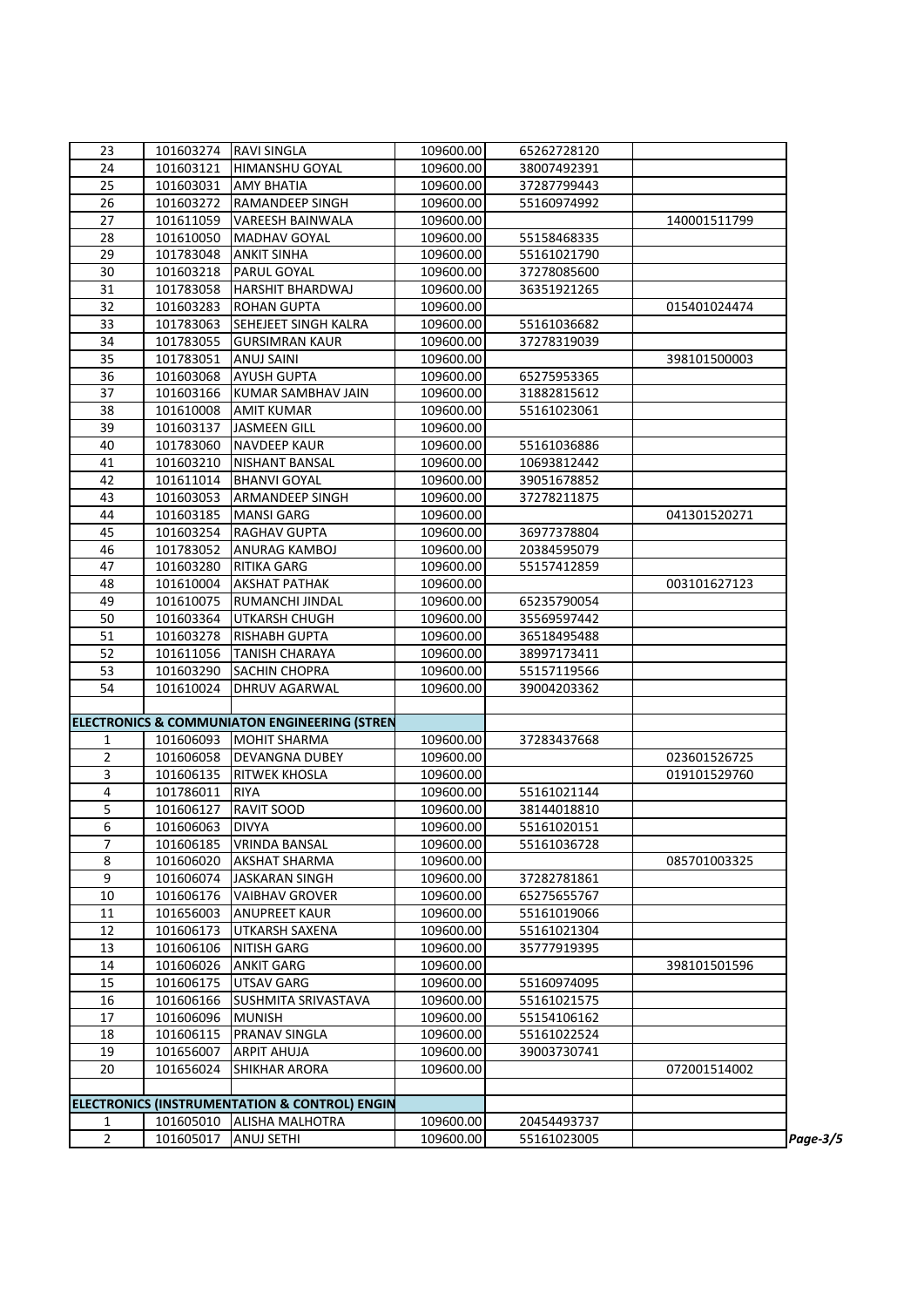| 23             | 101603274 | <b>RAVI SINGLA</b>                                      | 109600.00 | 65262728120 |              |          |
|----------------|-----------|---------------------------------------------------------|-----------|-------------|--------------|----------|
| 24             | 101603121 | HIMANSHU GOYAL                                          | 109600.00 | 38007492391 |              |          |
| 25             | 101603031 | <b>AMY BHATIA</b>                                       | 109600.00 | 37287799443 |              |          |
| 26             | 101603272 | <b>RAMANDEEP SINGH</b>                                  | 109600.00 | 55160974992 |              |          |
| 27             | 101611059 | <b>VAREESH BAINWALA</b>                                 | 109600.00 |             | 140001511799 |          |
| 28             | 101610050 | <b>MADHAV GOYAL</b>                                     | 109600.00 | 55158468335 |              |          |
| 29             | 101783048 | <b>ANKIT SINHA</b>                                      | 109600.00 | 55161021790 |              |          |
| 30             | 101603218 | PARUL GOYAL                                             | 109600.00 | 37278085600 |              |          |
| 31             | 101783058 | <b>HARSHIT BHARDWAJ</b>                                 | 109600.00 | 36351921265 |              |          |
| 32             | 101603283 | <b>ROHAN GUPTA</b>                                      | 109600.00 |             | 015401024474 |          |
| 33             | 101783063 | SEHEJEET SINGH KALRA                                    | 109600.00 | 55161036682 |              |          |
| 34             | 101783055 | <b>GURSIMRAN KAUR</b>                                   | 109600.00 | 37278319039 |              |          |
| 35             | 101783051 | <b>ANUJ SAINI</b>                                       | 109600.00 |             | 398101500003 |          |
| 36             | 101603068 | <b>AYUSH GUPTA</b>                                      | 109600.00 | 65275953365 |              |          |
| 37             | 101603166 | KUMAR SAMBHAV JAIN                                      | 109600.00 | 31882815612 |              |          |
| 38             | 101610008 | <b>AMIT KUMAR</b>                                       | 109600.00 | 55161023061 |              |          |
| 39             | 101603137 | <b>JASMEEN GILL</b>                                     | 109600.00 |             |              |          |
| 40             | 101783060 | <b>NAVDEEP KAUR</b>                                     | 109600.00 | 55161036886 |              |          |
| 41             | 101603210 | <b>NISHANT BANSAL</b>                                   | 109600.00 | 10693812442 |              |          |
| 42             | 101611014 | <b>BHANVI GOYAL</b>                                     | 109600.00 | 39051678852 |              |          |
| 43             | 101603053 | <b>ARMANDEEP SINGH</b>                                  | 109600.00 | 37278211875 |              |          |
| 44             | 101603185 | <b>MANSI GARG</b>                                       | 109600.00 |             | 041301520271 |          |
| 45             | 101603254 | <b>RAGHAV GUPTA</b>                                     | 109600.00 | 36977378804 |              |          |
| 46             | 101783052 | <b>ANURAG KAMBOJ</b>                                    | 109600.00 | 20384595079 |              |          |
| 47             | 101603280 | <b>RITIKA GARG</b>                                      | 109600.00 | 55157412859 |              |          |
| 48             | 101610004 | <b>AKSHAT PATHAK</b>                                    | 109600.00 |             | 003101627123 |          |
| 49             | 101610075 | RUMANCHI JINDAL                                         | 109600.00 | 65235790054 |              |          |
| 50             | 101603364 | UTKARSH CHUGH                                           | 109600.00 | 35569597442 |              |          |
| 51             | 101603278 | <b>RISHABH GUPTA</b>                                    | 109600.00 | 36518495488 |              |          |
| 52             | 101611056 | <b>TANISH CHARAYA</b>                                   | 109600.00 | 38997173411 |              |          |
| 53             | 101603290 | <b>SACHIN CHOPRA</b>                                    | 109600.00 | 55157119566 |              |          |
| 54             | 101610024 | DHRUV AGARWAL                                           | 109600.00 | 39004203362 |              |          |
|                |           |                                                         |           |             |              |          |
|                |           | <b>ELECTRONICS &amp; COMMUNIATON ENGINEERING (STREN</b> |           |             |              |          |
| 1              | 101606093 | <b>MOHIT SHARMA</b>                                     | 109600.00 | 37283437668 |              |          |
| $\overline{2}$ | 101606058 | <b>DEVANGNA DUBEY</b>                                   | 109600.00 |             | 023601526725 |          |
| 3              | 101606135 | <b>RITWEK KHOSLA</b>                                    | 109600.00 |             | 019101529760 |          |
| $\overline{4}$ | 101786011 | <b>RIYA</b>                                             | 109600.00 | 55161021144 |              |          |
| 5              | 101606127 | <b>RAVIT SOOD</b>                                       | 109600.00 | 38144018810 |              |          |
| 6              | 101606063 | <b>DIVYA</b>                                            | 109600.00 | 55161020151 |              |          |
| 7              | 101606185 | <b>VRINDA BANSAL</b>                                    | 109600.00 | 55161036728 |              |          |
| 8              | 101606020 | <b>AKSHAT SHARMA</b>                                    | 109600.00 |             | 085701003325 |          |
| 9              | 101606074 | <b>JASKARAN SINGH</b>                                   | 109600.00 | 37282781861 |              |          |
| $10\,$         | 101606176 | <b>VAIBHAV GROVER</b>                                   | 109600.00 | 65275655767 |              |          |
| 11             | 101656003 | <b>ANUPREET KAUR</b>                                    | 109600.00 | 55161019066 |              |          |
| 12             | 101606173 | UTKARSH SAXENA                                          | 109600.00 | 55161021304 |              |          |
| 13             | 101606106 | <b>NITISH GARG</b>                                      | 109600.00 | 35777919395 |              |          |
| 14             | 101606026 | <b>ANKIT GARG</b>                                       | 109600.00 |             | 398101501596 |          |
| 15             | 101606175 | <b>UTSAV GARG</b>                                       | 109600.00 | 55160974095 |              |          |
| 16             | 101606166 | SUSHMITA SRIVASTAVA                                     | 109600.00 | 55161021575 |              |          |
| 17             | 101606096 | <b>MUNISH</b>                                           | 109600.00 | 55154106162 |              |          |
| 18             | 101606115 | PRANAV SINGLA                                           | 109600.00 | 55161022524 |              |          |
| 19             | 101656007 | <b>ARPIT AHUJA</b>                                      | 109600.00 | 39003730741 |              |          |
| 20             | 101656024 | <b>SHIKHAR ARORA</b>                                    | 109600.00 |             | 072001514002 |          |
|                |           |                                                         |           |             |              |          |
|                |           | ELECTRONICS (INSTRUMENTATION & CONTROL) ENGIN           |           |             |              |          |
| 1              | 101605010 | <b>ALISHA MALHOTRA</b>                                  | 109600.00 | 20454493737 |              |          |
| $\overline{2}$ | 101605017 | ANUJ SETHI                                              | 109600.00 | 55161023005 |              | Page-3/5 |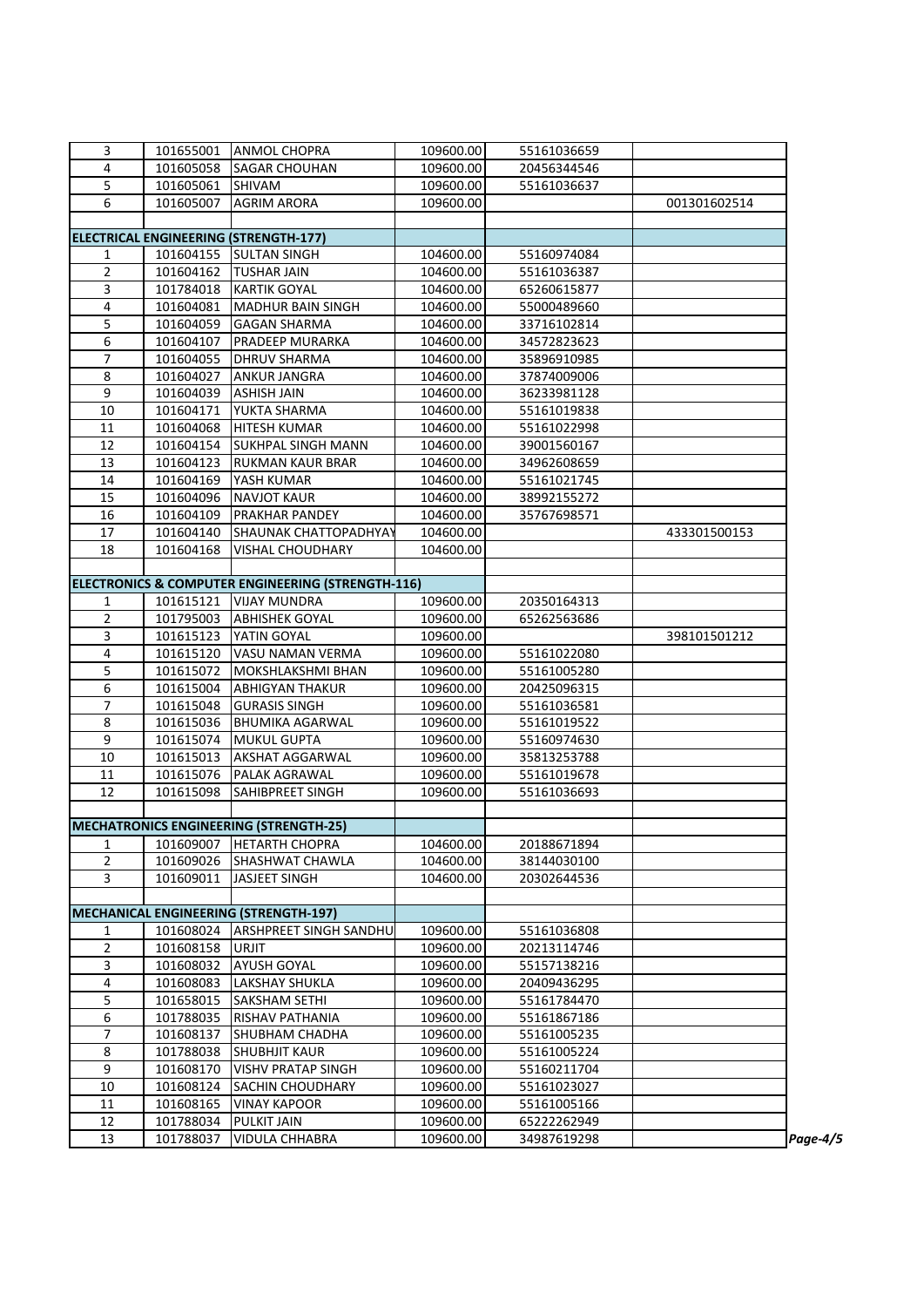| 3              | 101655001 | <b>ANMOL CHOPRA</b>                               | 109600.00 |             |              |          |
|----------------|-----------|---------------------------------------------------|-----------|-------------|--------------|----------|
|                |           |                                                   |           | 55161036659 |              |          |
| 4              | 101605058 | <b>SAGAR CHOUHAN</b>                              | 109600.00 | 20456344546 |              |          |
| 5              | 101605061 | SHIVAM                                            | 109600.00 | 55161036637 |              |          |
| 6              | 101605007 | <b>AGRIM ARORA</b>                                | 109600.00 |             | 001301602514 |          |
|                |           |                                                   |           |             |              |          |
|                |           | <b>ELECTRICAL ENGINEERING (STRENGTH-177)</b>      |           |             |              |          |
| 1              | 101604155 | <b>SULTAN SINGH</b>                               | 104600.00 | 55160974084 |              |          |
| $\overline{2}$ | 101604162 | <b>TUSHAR JAIN</b>                                | 104600.00 | 55161036387 |              |          |
| 3              | 101784018 | <b>KARTIK GOYAL</b>                               | 104600.00 | 65260615877 |              |          |
| 4              | 101604081 | <b>MADHUR BAIN SINGH</b>                          | 104600.00 | 55000489660 |              |          |
| 5              | 101604059 | <b>GAGAN SHARMA</b>                               | 104600.00 | 33716102814 |              |          |
| 6              | 101604107 | <b>PRADEEP MURARKA</b>                            | 104600.00 | 34572823623 |              |          |
| $\overline{7}$ | 101604055 | <b>DHRUV SHARMA</b>                               | 104600.00 | 35896910985 |              |          |
| 8              | 101604027 | <b>ANKUR JANGRA</b>                               | 104600.00 | 37874009006 |              |          |
| 9              | 101604039 | <b>ASHISH JAIN</b>                                | 104600.00 | 36233981128 |              |          |
| 10             | 101604171 | YUKTA SHARMA                                      | 104600.00 | 55161019838 |              |          |
| 11             | 101604068 | <b>HITESH KUMAR</b>                               | 104600.00 | 55161022998 |              |          |
| 12             | 101604154 | <b>SUKHPAL SINGH MANN</b>                         | 104600.00 | 39001560167 |              |          |
| 13             | 101604123 | <b>RUKMAN KAUR BRAR</b>                           | 104600.00 | 34962608659 |              |          |
| 14             | 101604169 | YASH KUMAR                                        | 104600.00 | 55161021745 |              |          |
| 15             | 101604096 | <b>NAVJOT KAUR</b>                                | 104600.00 | 38992155272 |              |          |
| 16             | 101604109 | <b>PRAKHAR PANDEY</b>                             | 104600.00 | 35767698571 |              |          |
| 17             |           |                                                   |           |             |              |          |
|                | 101604140 | SHAUNAK CHATTOPADHYAY                             | 104600.00 |             | 433301500153 |          |
| 18             | 101604168 | <b>VISHAL CHOUDHARY</b>                           | 104600.00 |             |              |          |
|                |           | ELECTRONICS & COMPUTER ENGINEERING (STRENGTH-116) |           |             |              |          |
|                |           | <b>VIJAY MUNDRA</b>                               |           |             |              |          |
| 1              | 101615121 |                                                   | 109600.00 | 20350164313 |              |          |
| $\overline{2}$ | 101795003 | <b>ABHISHEK GOYAL</b>                             | 109600.00 | 65262563686 |              |          |
| 3              | 101615123 | YATIN GOYAL                                       | 109600.00 |             | 398101501212 |          |
| 4              | 101615120 | <b>VASU NAMAN VERMA</b>                           | 109600.00 | 55161022080 |              |          |
| 5              | 101615072 | MOKSHLAKSHMI BHAN                                 | 109600.00 | 55161005280 |              |          |
| 6              | 101615004 | <b>ABHIGYAN THAKUR</b>                            | 109600.00 | 20425096315 |              |          |
| $\overline{7}$ | 101615048 | <b>GURASIS SINGH</b>                              | 109600.00 | 55161036581 |              |          |
| 8              | 101615036 | <b>BHUMIKA AGARWAL</b>                            | 109600.00 | 55161019522 |              |          |
| 9              | 101615074 | <b>MUKUL GUPTA</b>                                | 109600.00 | 55160974630 |              |          |
| 10             | 101615013 | <b>AKSHAT AGGARWAL</b>                            | 109600.00 | 35813253788 |              |          |
| 11             | 101615076 | PALAK AGRAWAL                                     | 109600.00 | 55161019678 |              |          |
| 12             | 101615098 | SAHIBPREET SINGH                                  | 109600.00 | 55161036693 |              |          |
|                |           |                                                   |           |             |              |          |
|                |           | <b>MECHATRONICS ENGINEERING (STRENGTH-25)</b>     |           |             |              |          |
| $\mathbf{1}$   | 101609007 | <b>HETARTH CHOPRA</b>                             | 104600.00 | 20188671894 |              |          |
| $\overline{2}$ | 101609026 | SHASHWAT CHAWLA                                   | 104600.00 | 38144030100 |              |          |
| 3              | 101609011 | JASJEET SINGH                                     | 104600.00 | 20302644536 |              |          |
|                |           |                                                   |           |             |              |          |
|                |           | <b>MECHANICAL ENGINEERING (STRENGTH-197)</b>      |           |             |              |          |
| 1              | 101608024 | <b>ARSHPREET SINGH SANDHU</b>                     | 109600.00 | 55161036808 |              |          |
| $\overline{2}$ | 101608158 | URJIT                                             | 109600.00 | 20213114746 |              |          |
| 3              | 101608032 | <b>AYUSH GOYAL</b>                                | 109600.00 | 55157138216 |              |          |
| 4              | 101608083 | <b>LAKSHAY SHUKLA</b>                             | 109600.00 | 20409436295 |              |          |
| 5              | 101658015 | <b>SAKSHAM SETHI</b>                              | 109600.00 | 55161784470 |              |          |
| 6              | 101788035 | <b>RISHAV PATHANIA</b>                            | 109600.00 | 55161867186 |              |          |
| $\overline{7}$ | 101608137 | <b>SHUBHAM CHADHA</b>                             | 109600.00 | 55161005235 |              |          |
| $\,8\,$        | 101788038 | <b>SHUBHJIT KAUR</b>                              | 109600.00 | 55161005224 |              |          |
| 9              | 101608170 | <b>VISHV PRATAP SINGH</b>                         | 109600.00 | 55160211704 |              |          |
| $10\,$         | 101608124 | <b>SACHIN CHOUDHARY</b>                           | 109600.00 | 55161023027 |              |          |
| 11             | 101608165 | <b>VINAY KAPOOR</b>                               | 109600.00 | 55161005166 |              |          |
| 12             | 101788034 | <b>PULKIT JAIN</b>                                | 109600.00 | 65222262949 |              |          |
| 13             | 101788037 | <b>VIDULA CHHABRA</b>                             | 109600.00 | 34987619298 |              | Page-4/5 |
|                |           |                                                   |           |             |              |          |